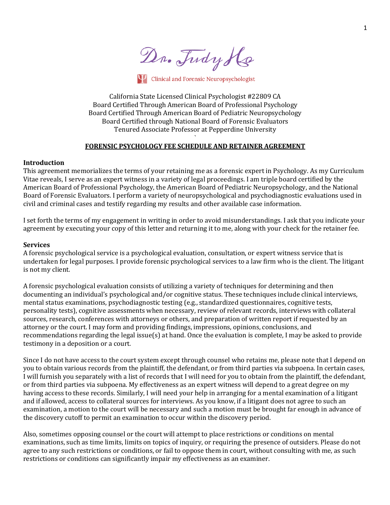Dr. Tudy Ho

Clinical and Forensic Neuropsychologist

California State Licensed Clinical Psychologist #22809 CA Board Certified Through American Board of Professional Psychology Board Certified Through American Board of Pediatric Neuropsychology Board Certified through National Board of Forensic Evaluators Tenured Associate Professor at Pepperdine University

# ` FORENSIC PSYCHOLOGY FEE SCHEDULE AND RETAINER AGREEMENT

# **Introduction**

This agreement memorializes the terms of your retaining me as a forensic expert in Psychology. As my Curriculum Vitae reveals, I serve as an expert witness in a variety of legal proceedings. I am triple board certified by the American Board of Professional Psychology, the American Board of Pediatric Neuropsychology, and the National Board of Forensic Evaluators. I perform a variety of neuropsychological and psychodiagnostic evaluations used in civil and criminal cases and testify regarding my results and other available case information.

I set forth the terms of my engagement in writing in order to avoid misunderstandings. I ask that you indicate your agreement by executing your copy of this letter and returning it to me, along with your check for the retainer fee.

### **Services**

A forensic psychological service is a psychological evaluation, consultation, or expert witness service that is undertaken for legal purposes. I provide forensic psychological services to a law firm who is the client. The litigant is not my client.

A forensic psychological evaluation consists of utilizing a variety of techniques for determining and then documenting an individual's psychological and/or cognitive status. These techniques include clinical interviews, mental status examinations, psychodiagnostic testing (e.g., standardized questionnaires, cognitive tests, personality tests), cognitive assessments when necessary, review of relevant records, interviews with collateral sources, research, conferences with attorneys or others, and preparation of written report if requested by an attorney or the court. I may form and providing findings, impressions, opinions, conclusions, and recommendations regarding the legal issue(s) at hand. Once the evaluation is complete, I may be asked to provide testimony in a deposition or a court.

Since I do not have access to the court system except through counsel who retains me, please note that I depend on you to obtain various records from the plaintiff, the defendant, or from third parties via subpoena. In certain cases, I will furnish you separately with a list of records that I will need for you to obtain from the plaintiff, the defendant, or from third parties via subpoena. My effectiveness as an expert witness will depend to a great degree on my having access to these records. Similarly, I will need your help in arranging for a mental examination of a litigant and if allowed, access to collateral sources for interviews. As you know, if a litigant does not agree to such an examination, a motion to the court will be necessary and such a motion must be brought far enough in advance of the discovery cutoff to permit an examination to occur within the discovery period.

Also, sometimes opposing counsel or the court will attempt to place restrictions or conditions on mental examinations, such as time limits, limits on topics of inquiry, or requiring the presence of outsiders. Please do not agree to any such restrictions or conditions, or fail to oppose them in court, without consulting with me, as such restrictions or conditions can significantly impair my effectiveness as an examiner.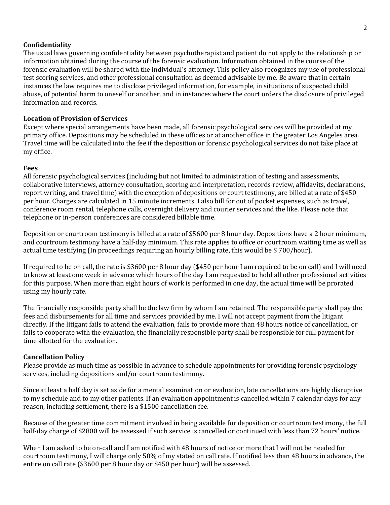# **Confidentiality**

The usual laws governing confidentiality between psychotherapist and patient do not apply to the relationship or information obtained during the course of the forensic evaluation. Information obtained in the course of the forensic evaluation will be shared with the individual's attorney. This policy also recognizes my use of professional test scoring services, and other professional consultation as deemed advisable by me. Be aware that in certain instances the law requires me to disclose privileged information, for example, in situations of suspected child abuse, of potential harm to oneself or another, and in instances where the court orders the disclosure of privileged information and records.

# **Location of Provision of Services**

Except where special arrangements have been made, all forensic psychological services will be provided at my primary office. Depositions may be scheduled in these offices or at another office in the greater Los Angeles area. Travel time will be calculated into the fee if the deposition or forensic psychological services do not take place at my office.

# **Fees**

All forensic psychological services (including but not limited to administration of testing and assessments, collaborative interviews, attorney consultation, scoring and interpretation, records review, affidavits, declarations, report writing, and travel time) with the exception of depositions or court testimony, are billed at a rate of \$450 per hour. Charges are calculated in 15 minute increments. I also bill for out of pocket expenses, such as travel, conference room rental, telephone calls, overnight delivery and courier services and the like. Please note that telephone or in-person conferences are considered billable time.

Deposition or courtroom testimony is billed at a rate of \$5600 per 8 hour day. Depositions have a 2 hour minimum, and courtroom testimony have a half-day minimum. This rate applies to office or courtroom waiting time as well as actual time testifying (In proceedings requiring an hourly billing rate, this would be  $$700/hour$ ).

If required to be on call, the rate is \$3600 per 8 hour day (\$450 per hour I am required to be on call) and I will need to know at least one week in advance which hours of the day I am requested to hold all other professional activities for this purpose. When more than eight hours of work is performed in one day, the actual time will be prorated using my hourly rate.

The financially responsible party shall be the law firm by whom I am retained. The responsible party shall pay the fees and disbursements for all time and services provided by me. I will not accept payment from the litigant directly. If the litigant fails to attend the evaluation, fails to provide more than 48 hours notice of cancellation, or fails to cooperate with the evaluation, the financially responsible party shall be responsible for full payment for time allotted for the evaluation.

## **Cancellation Policy**

Please provide as much time as possible in advance to schedule appointments for providing forensic psychology services, including depositions and/or courtroom testimony.

Since at least a half day is set aside for a mental examination or evaluation, late cancellations are highly disruptive to my schedule and to my other patients. If an evaluation appointment is cancelled within 7 calendar days for any reason, including settlement, there is a \$1500 cancellation fee.

Because of the greater time commitment involved in being available for deposition or courtroom testimony, the full half-day charge of \$2800 will be assessed if such service is cancelled or continued with less than 72 hours' notice.

When I am asked to be on-call and I am notified with 48 hours of notice or more that I will not be needed for courtroom testimony, I will charge only 50% of my stated on call rate. If notified less than 48 hours in advance, the entire on call rate (\$3600 per 8 hour day or \$450 per hour) will be assessed.